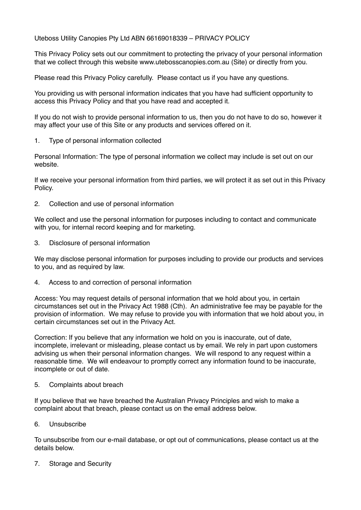Uteboss Utility Canopies Pty Ltd ABN 66169018339 – PRIVACY POLICY

This Privacy Policy sets out our commitment to protecting the privacy of your personal information that we collect through this website www.utebosscanopies.com.au (Site) or directly from you.

Please read this Privacy Policy carefully. Please contact us if you have any questions.

You providing us with personal information indicates that you have had sufficient opportunity to access this Privacy Policy and that you have read and accepted it.

If you do not wish to provide personal information to us, then you do not have to do so, however it may affect your use of this Site or any products and services offered on it.

1. Type of personal information collected

Personal Information: The type of personal information we collect may include is set out on our website.

If we receive your personal information from third parties, we will protect it as set out in this Privacy Policy.

2. Collection and use of personal information

We collect and use the personal information for purposes including to contact and communicate with you, for internal record keeping and for marketing.

3. Disclosure of personal information

We may disclose personal information for purposes including to provide our products and services to you, and as required by law.

4. Access to and correction of personal information

Access: You may request details of personal information that we hold about you, in certain circumstances set out in the Privacy Act 1988 (Cth). An administrative fee may be payable for the provision of information. We may refuse to provide you with information that we hold about you, in certain circumstances set out in the Privacy Act.

Correction: If you believe that any information we hold on you is inaccurate, out of date, incomplete, irrelevant or misleading, please contact us by email. We rely in part upon customers advising us when their personal information changes. We will respond to any request within a reasonable time. We will endeavour to promptly correct any information found to be inaccurate, incomplete or out of date.

5. Complaints about breach

If you believe that we have breached the Australian Privacy Principles and wish to make a complaint about that breach, please contact us on the email address below.

6. Unsubscribe

To unsubscribe from our e-mail database, or opt out of communications, please contact us at the details below.

7. Storage and Security